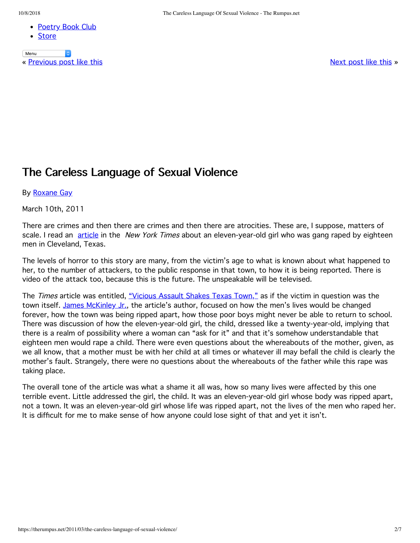- [Poetry Book Club](https://therumpus.net/the-rumpus-poetry-book-club/)
- [Store](http://store.therumpus.net/)

[Next post like this](https://therumpus.net/2011/03/danya-glabaus-tech-links-31/) »

## **The Careless Language of Sexual Violence**

By [Roxane Gay](https://therumpus.net/author/roxane-gay/)

March 10th, 2011

There are crimes and then there are crimes and then there are atrocities. These are, I suppose, matters of scale. I read an [article](http://www.nytimes.com/2011/03/09/us/09assault.html?_r=1) in the New York Times about an eleven-year-old girl who was gang raped by eighteen men in Cleveland, Texas.

The levels of horror to this story are many, from the victim's age to what is known about what happened to her, to the number of attackers, to the public response in that town, to how it is being reported. There is video of the attack too, because this is the future. The unspeakable will be televised.

The Times article was entitled, ["Vicious Assault Shakes Texas Town,"](http://www.nytimes.com/2011/03/09/us/09assault.html?_r=1) as if the victim in question was the town itself. [James McKinley Jr.,](http://en.wikipedia.org/wiki/James_C._McKinley,_Jr.) the article's author, focused on how the men's lives would be changed forever, how the town was being ripped apart, how those poor boys might never be able to return to school. There was discussion of how the eleven-year-old girl, the child, dressed like a twenty-year-old, implying that there is a realm of possibility where a woman can "ask for it" and that it's somehow understandable that eighteen men would rape a child. There were even questions about the whereabouts of the mother, given, as we all know, that a mother must be with her child at all times or whatever ill may befall the child is clearly the mother's fault. Strangely, there were no questions about the whereabouts of the father while this rape was taking place.

The overall tone of the article was what a shame it all was, how so many lives were affected by this one terrible event. Little addressed the girl, the child. It was an eleven-year-old girl whose body was ripped apart, not a town. It was an eleven-year-old girl whose life was ripped apart, not the lives of the men who raped her. It is difficult for me to make sense of how anyone could lose sight of that and yet it isn't.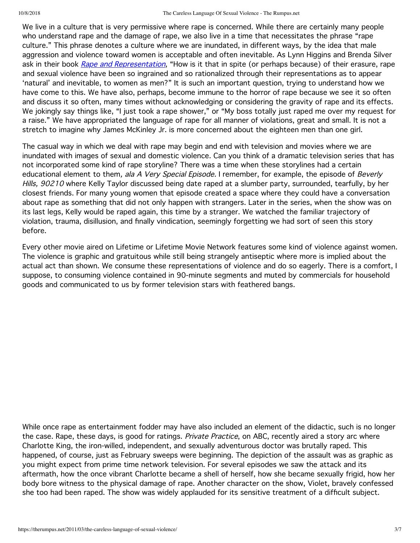We live in a culture that is very permissive where rape is concerned. While there are certainly many people who understand rape and the damage of rape, we also live in a time that necessitates the phrase "rape culture." This phrase denotes a culture where we are inundated, in different ways, by the idea that male aggression and violence toward women is acceptable and often inevitable. As Lynn Higgins and Brenda Silver ask in their book [Rape and Representation](http://amzn.to/2repZpU), "How is it that in spite (or perhaps because) of their erasure, rape and sexual violence have been so ingrained and so rationalized through their representations as to appear 'natural' and inevitable, to women as men?" It is such an important question, trying to understand how we have come to this. We have also, perhaps, become immune to the horror of rape because we see it so often and discuss it so often, many times without acknowledging or considering the gravity of rape and its effects. We jokingly say things like, "I just took a rape shower," or "My boss totally just raped me over my request for a raise." We have appropriated the language of rape for all manner of violations, great and small. It is not a stretch to imagine why James McKinley Jr. is more concerned about the eighteen men than one girl.

The casual way in which we deal with rape may begin and end with television and movies where we are inundated with images of sexual and domestic violence. Can you think of a dramatic television series that has not incorporated some kind of rape storyline? There was a time when these storylines had a certain educational element to them, ala A Very Special Episode. I remember, for example, the episode of Beverly Hills, 90210 where Kelly Taylor discussed being date raped at a slumber party, surrounded, tearfully, by her closest friends. For many young women that episode created a space where they could have a conversation about rape as something that did not only happen with strangers. Later in the series, when the show was on its last legs, Kelly would be raped again, this time by a stranger. We watched the familiar trajectory of violation, trauma, disillusion, and finally vindication, seemingly forgetting we had sort of seen this story before.

Every other movie aired on Lifetime or Lifetime Movie Network features some kind of violence against women. The violence is graphic and gratuitous while still being strangely antiseptic where more is implied about the actual act than shown. We consume these representations of violence and do so eagerly. There is a comfort, I suppose, to consuming violence contained in 90-minute segments and muted by commercials for household goods and communicated to us by former television stars with feathered bangs.

While once rape as entertainment fodder may have also included an element of the didactic, such is no longer the case. Rape, these days, is good for ratings. *Private Practice*, on ABC, recently aired a story arc where Charlotte King, the iron-willed, independent, and sexually adventurous doctor was brutally raped. This happened, of course, just as February sweeps were beginning. The depiction of the assault was as graphic as you might expect from prime time network television. For several episodes we saw the attack and its aftermath, how the once vibrant Charlotte became a shell of herself, how she became sexually frigid, how her body bore witness to the physical damage of rape. Another character on the show, Violet, bravely confessed she too had been raped. The show was widely applauded for its sensitive treatment of a difficult subject.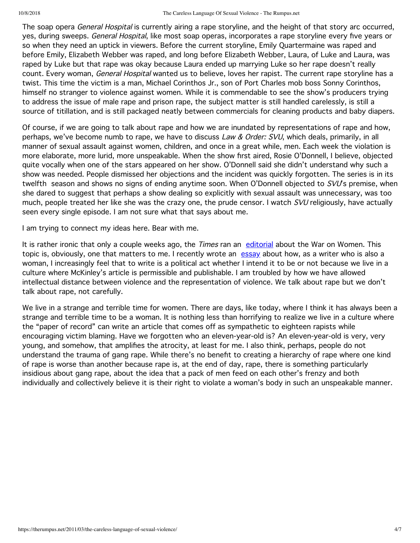The soap opera General Hospital is currently airing a rape storyline, and the height of that story arc occurred, yes, during sweeps. General Hospital, like most soap operas, incorporates a rape storyline every five years or so when they need an uptick in viewers. Before the current storyline, Emily Quartermaine was raped and before Emily, Elizabeth Webber was raped, and long before Elizabeth Webber, Laura, of Luke and Laura, was raped by Luke but that rape was okay because Laura ended up marrying Luke so her rape doesn't really count. Every woman, *General Hospital* wanted us to believe, loves her rapist. The current rape storyline has a twist. This time the victim is a man, Michael Corinthos Jr., son of Port Charles mob boss Sonny Corinthos, himself no stranger to violence against women. While it is commendable to see the show's producers trying to address the issue of male rape and prison rape, the subject matter is still handled carelessly, is still a source of titillation, and is still packaged neatly between commercials for cleaning products and baby diapers.

Of course, if we are going to talk about rape and how we are inundated by representations of rape and how, perhaps, we've become numb to rape, we have to discuss Law & Order: SVU, which deals, primarily, in all manner of sexual assault against women, children, and once in a great while, men. Each week the violation is more elaborate, more lurid, more unspeakable. When the show first aired, Rosie O'Donnell, I believe, objected quite vocally when one of the stars appeared on her show. O'Donnell said she didn't understand why such a show was needed. People dismissed her objections and the incident was quickly forgotten. The series is in its twelfth season and shows no signs of ending anytime soon. When O'Donnell objected to  $SVU$ s premise, when she dared to suggest that perhaps a show dealing so explicitly with sexual assault was unnecessary, was too much, people treated her like she was the crazy one, the prude censor. I watch SVU religiously, have actually seen every single episode. I am not sure what that says about me.

I am trying to connect my ideas here. Bear with me.

It is rather ironic that only a couple weeks ago, the Times ran an [editorial](http://www.nytimes.com/2011/02/26/opinion/26sat1.html?hp) about the War on Women. This topic is, obviously, one that matters to me. I recently wrote an [essay](http://htmlgiant.com/random/to-write-as-a-woman-is-political/) about how, as a writer who is also a woman, I increasingly feel that to write is a political act whether I intend it to be or not because we live in a culture where McKinley's article is permissible and publishable. I am troubled by how we have allowed intellectual distance between violence and the representation of violence. We talk about rape but we don't talk about rape, not carefully.

We live in a strange and terrible time for women. There are days, like today, where I think it has always been a strange and terrible time to be a woman. It is nothing less than horrifying to realize we live in a culture where the "paper of record" can write an article that comes off as sympathetic to eighteen rapists while encouraging victim blaming. Have we forgotten who an eleven-year-old is? An eleven-year-old is very, very young, and somehow, that amplifies the atrocity, at least for me. I also think, perhaps, people do not understand the trauma of gang rape. While there's no benefit to creating a hierarchy of rape where one kind of rape is worse than another because rape is, at the end of day, rape, there is something particularly insidious about gang rape, about the idea that a pack of men feed on each other's frenzy and both individually and collectively believe it is their right to violate a woman's body in such an unspeakable manner.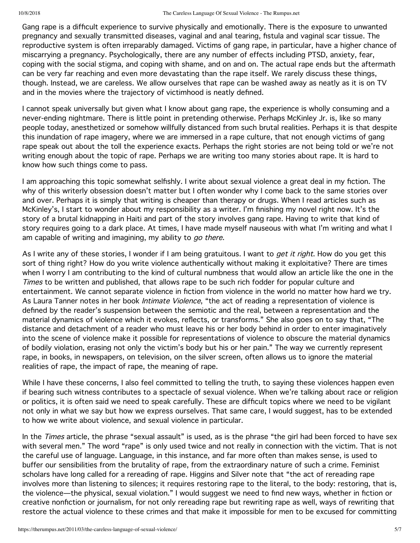Gang rape is a difficult experience to survive physically and emotionally. There is the exposure to unwanted pregnancy and sexually transmitted diseases, vaginal and anal tearing, fistula and vaginal scar tissue. The reproductive system is often irreparably damaged. Victims of gang rape, in particular, have a higher chance of miscarrying a pregnancy. Psychologically, there are any number of effects including PTSD, anxiety, fear, coping with the social stigma, and coping with shame, and on and on. The actual rape ends but the aftermath can be very far reaching and even more devastating than the rape itself. We rarely discuss these things, though. Instead, we are careless. We allow ourselves that rape can be washed away as neatly as it is on TV and in the movies where the trajectory of victimhood is neatly defined.

I cannot speak universally but given what I know about gang rape, the experience is wholly consuming and a never-ending nightmare. There is little point in pretending otherwise. Perhaps McKinley Jr. is, like so many people today, anesthetized or somehow willfully distanced from such brutal realities. Perhaps it is that despite this inundation of rape imagery, where we are immersed in a rape culture, that not enough victims of gang rape speak out about the toll the experience exacts. Perhaps the right stories are not being told or we're not writing enough about the topic of rape. Perhaps we are writing too many stories about rape. It is hard to know how such things come to pass.

I am approaching this topic somewhat selfishly. I write about sexual violence a great deal in my fiction. The why of this writerly obsession doesn't matter but I often wonder why I come back to the same stories over and over. Perhaps it is simply that writing is cheaper than therapy or drugs. When I read articles such as McKinley's, I start to wonder about my responsibility as a writer. I'm finishing my novel right now. It's the story of a brutal kidnapping in Haiti and part of the story involves gang rape. Having to write that kind of story requires going to a dark place. At times, I have made myself nauseous with what I'm writing and what I am capable of writing and imagining, my ability to go there.

As I write any of these stories, I wonder if I am being gratuitous. I want to *get it right*. How do you get this sort of thing right? How do you write violence authentically without making it exploitative? There are times when I worry I am contributing to the kind of cultural numbness that would allow an article like the one in the Times to be written and published, that allows rape to be such rich fodder for popular culture and entertainment. We cannot separate violence in fiction from violence in the world no matter how hard we try. As Laura Tanner notes in her book *Intimate Violence*, "the act of reading a representation of violence is defined by the reader's suspension between the semiotic and the real, between a representation and the material dynamics of violence which it evokes, reflects, or transforms." She also goes on to say that, "The distance and detachment of a reader who must leave his or her body behind in order to enter imaginatively into the scene of violence make it possible for representations of violence to obscure the material dynamics of bodily violation, erasing not only the victim's body but his or her pain." The way we currently represent rape, in books, in newspapers, on television, on the silver screen, often allows us to ignore the material realities of rape, the impact of rape, the meaning of rape.

While I have these concerns, I also feel committed to telling the truth, to saying these violences happen even if bearing such witness contributes to a spectacle of sexual violence. When we're talking about race or religion or politics, it is often said we need to speak carefully. These are difficult topics where we need to be vigilant not only in what we say but how we express ourselves. That same care, I would suggest, has to be extended to how we write about violence, and sexual violence in particular.

In the Times article, the phrase "sexual assault" is used, as is the phrase "the girl had been forced to have sex with several men." The word "rape" is only used twice and not really in connection with the victim. That is not the careful use of language. Language, in this instance, and far more often than makes sense, is used to buffer our sensibilities from the brutality of rape, from the extraordinary nature of such a crime. Feminist scholars have long called for a rereading of rape. Higgins and Silver note that "the act of rereading rape involves more than listening to silences; it requires restoring rape to the literal, to the body: restoring, that is, the violence—the physical, sexual violation." I would suggest we need to find new ways, whether in fiction or creative nonfiction or journalism, for not only rereading rape but rewriting rape as well, ways of rewriting that restore the actual violence to these crimes and that make it impossible for men to be excused for committing